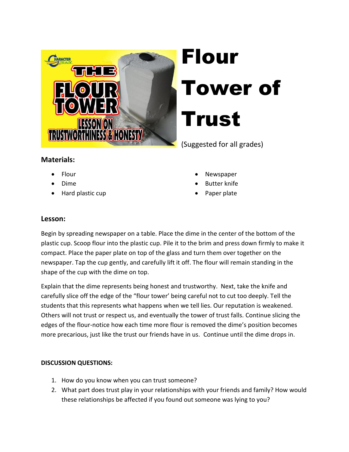

## Flour Tower of Trust

(Suggested for all grades)

## **Materials:**

- Flour
- Dime
- Hard plastic cup
- Newspaper
- Butter knife
- Paper plate

## **Lesson:**

Begin by spreading newspaper on a table. Place the dime in the center of the bottom of the plastic cup. Scoop flour into the plastic cup. Pile it to the brim and press down firmly to make it compact. Place the paper plate on top of the glass and turn them over together on the newspaper. Tap the cup gently, and carefully lift it off. The flour will remain standing in the shape of the cup with the dime on top.

Explain that the dime represents being honest and trustworthy. Next, take the knife and carefully slice off the edge of the "flour tower' being careful not to cut too deeply. Tell the students that this represents what happens when we tell lies. Our reputation is weakened. Others will not trust or respect us, and eventually the tower of trust falls. Continue slicing the edges of the flour-notice how each time more flour is removed the dime's position becomes more precarious, just like the trust our friends have in us. Continue until the dime drops in.

## **DISCUSSION QUESTIONS:**

- 1. How do you know when you can trust someone?
- 2. What part does trust play in your relationships with your friends and family? How would these relationships be affected if you found out someone was lying to you?